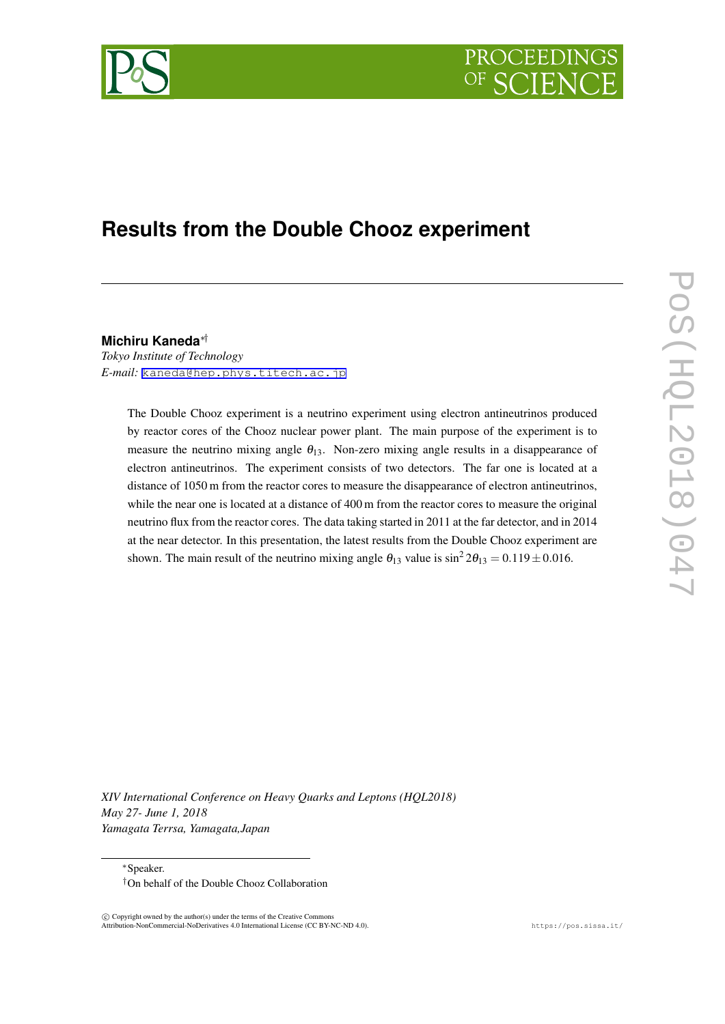



# **Results from the Double Chooz experiment**

**Michiru Kaneda***∗† Tokyo Institute of Technology E-mail:* [kaneda@hep.phys.titech.ac.jp](mailto:kaneda@hep.phys.titech.ac.jp)

> The Double Chooz experiment is a neutrino experiment using electron antineutrinos produced by reactor cores of the Chooz nuclear power plant. The main purpose of the experiment is to measure the neutrino mixing angle  $\theta_{13}$ . Non-zero mixing angle results in a disappearance of electron antineutrinos. The experiment consists of two detectors. The far one is located at a distance of 1050 m from the reactor cores to measure the disappearance of electron antineutrinos, while the near one is located at a distance of 400 m from the reactor cores to measure the original neutrino flux from the reactor cores. The data taking started in 2011 at the far detector, and in 2014 at the near detector. In this presentation, the latest results from the Double Chooz experiment are shown. The main result of the neutrino mixing angle  $\theta_{13}$  value is  $\sin^2 2\theta_{13} = 0.119 \pm 0.016$ .

*XIV International Conference on Heavy Quarks and Leptons (HQL2018) May 27- June 1, 2018 Yamagata Terrsa, Yamagata,Japan*

*∗*Speaker. *†*On behalf of the Double Chooz Collaboration

 $\circled{c}$  Copyright owned by the author(s) under the terms of the Creative Commons Attribution-NonCommercial-NoDerivatives 4.0 International License (CC BY-NC-ND 4.0). https://pos.sissa.it/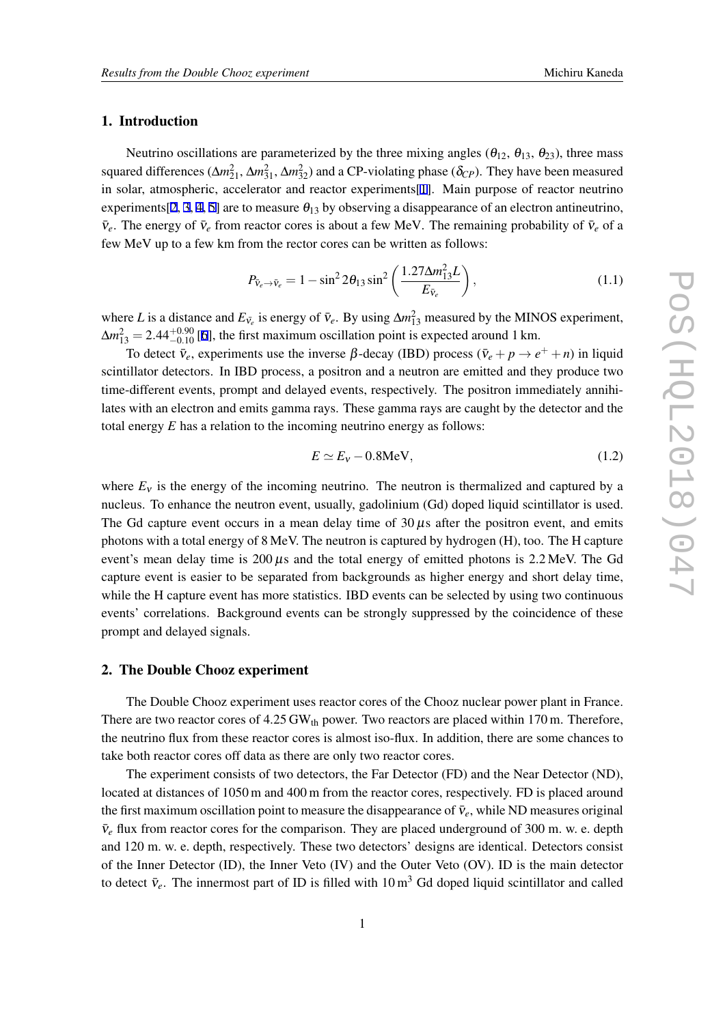# 1. Introduction

Neutrino oscillations are parameterized by the three mixing angles ( $\theta_{12}$ ,  $\theta_{13}$ ,  $\theta_{23}$ ), three mass squared differences ( $\Delta m_{21}^2$ ,  $\Delta m_{31}^2$ ,  $\Delta m_{32}^2$ ) and a CP-violating phase ( $\delta_{CP}$ ). They have been measured in solar, atmospheric, accelerator and reactor experiments[\[1\]](#page-3-0). Main purpose of reactor neutrino experiments[\[2,](#page-3-0) [3](#page-3-0), [4,](#page-3-0) [5](#page-3-0)] are to measure  $\theta_{13}$  by observing a disappearance of an electron antineutrino,  $\bar{v}_e$ . The energy of  $\bar{v}_e$  from reactor cores is about a few MeV. The remaining probability of  $\bar{v}_e$  of a few MeV up to a few km from the rector cores can be written as follows:

$$
P_{\bar{v}_e \to \bar{v}_e} = 1 - \sin^2 2\theta_{13} \sin^2 \left( \frac{1.27 \Delta m_{13}^2 L}{E_{\bar{v}_e}} \right),\tag{1.1}
$$

where *L* is a distance and  $E_{\bar{v}_e}$  is energy of  $\bar{v}_e$ . By using  $\Delta m_{13}^2$  measured by the MINOS experiment,  $\Delta m_{13}^2 = 2.44_{-0.10}^{+0.90}$  [\[6\]](#page-3-0), the first maximum oscillation point is expected around 1 km.

To detect  $\bar{v}_e$ , experiments use the inverse  $\beta$ -decay (IBD) process ( $\bar{v}_e + p \rightarrow e^+ + n$ ) in liquid scintillator detectors. In IBD process, a positron and a neutron are emitted and they produce two time-different events, prompt and delayed events, respectively. The positron immediately annihilates with an electron and emits gamma rays. These gamma rays are caught by the detector and the total energy *E* has a relation to the incoming neutrino energy as follows:

$$
E \simeq E_V - 0.8 \text{MeV},\tag{1.2}
$$

where  $E<sub>v</sub>$  is the energy of the incoming neutrino. The neutron is thermalized and captured by a nucleus. To enhance the neutron event, usually, gadolinium (Gd) doped liquid scintillator is used. The Gd capture event occurs in a mean delay time of  $30 \mu s$  after the positron event, and emits photons with a total energy of 8 MeV. The neutron is captured by hydrogen (H), too. The H capture event's mean delay time is  $200 \mu s$  and the total energy of emitted photons is 2.2 MeV. The Gd capture event is easier to be separated from backgrounds as higher energy and short delay time, while the H capture event has more statistics. IBD events can be selected by using two continuous events' correlations. Background events can be strongly suppressed by the coincidence of these prompt and delayed signals.

#### 2. The Double Chooz experiment

The Double Chooz experiment uses reactor cores of the Chooz nuclear power plant in France. There are two reactor cores of  $4.25$  GW<sub>th</sub> power. Two reactors are placed within 170 m. Therefore, the neutrino flux from these reactor cores is almost iso-flux. In addition, there are some chances to take both reactor cores off data as there are only two reactor cores.

The experiment consists of two detectors, the Far Detector (FD) and the Near Detector (ND), located at distances of 1050 m and 400 m from the reactor cores, respectively. FD is placed around the first maximum oscillation point to measure the disappearance of  $\bar{v}_e$ , while ND measures original  $\bar{v}_e$  flux from reactor cores for the comparison. They are placed underground of 300 m. w. e. depth and 120 m. w. e. depth, respectively. These two detectors' designs are identical. Detectors consist of the Inner Detector (ID), the Inner Veto (IV) and the Outer Veto (OV). ID is the main detector to detect  $\bar{v}_e$ . The innermost part of ID is filled with 10 m<sup>3</sup> Gd doped liquid scintillator and called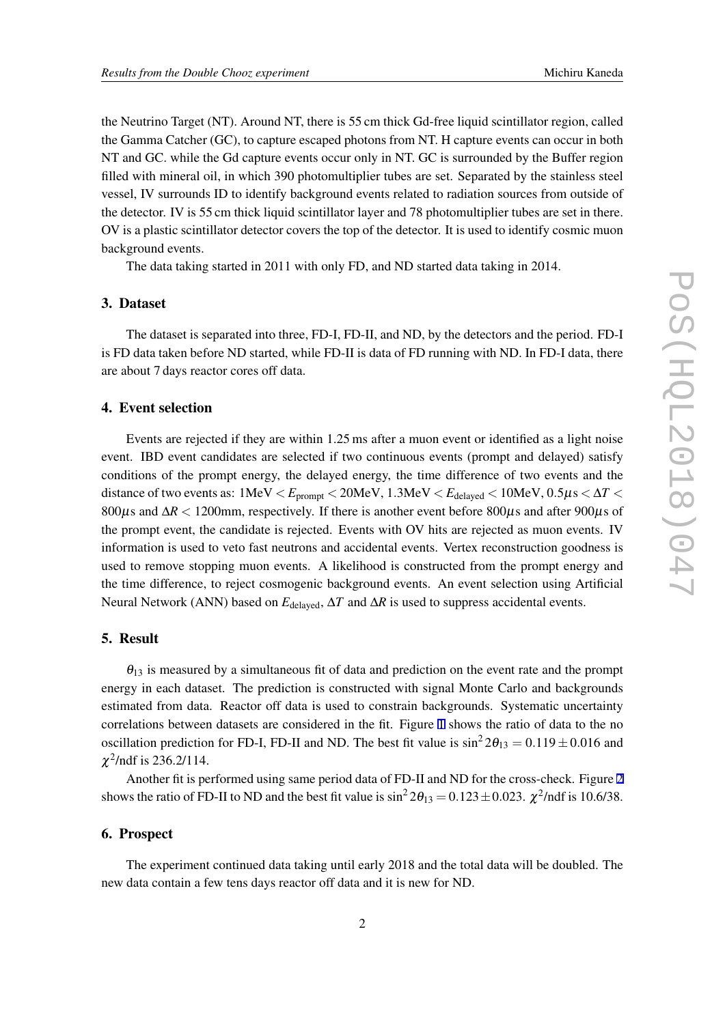the Neutrino Target (NT). Around NT, there is 55 cm thick Gd-free liquid scintillator region, called the Gamma Catcher (GC), to capture escaped photons from NT. H capture events can occur in both NT and GC. while the Gd capture events occur only in NT. GC is surrounded by the Buffer region filled with mineral oil, in which 390 photomultiplier tubes are set. Separated by the stainless steel vessel, IV surrounds ID to identify background events related to radiation sources from outside of the detector. IV is 55 cm thick liquid scintillator layer and 78 photomultiplier tubes are set in there. OV is a plastic scintillator detector covers the top of the detector. It is used to identify cosmic muon background events.

The data taking started in 2011 with only FD, and ND started data taking in 2014.

#### 3. Dataset

The dataset is separated into three, FD-I, FD-II, and ND, by the detectors and the period. FD-I is FD data taken before ND started, while FD-II is data of FD running with ND. In FD-I data, there are about 7 days reactor cores off data.

# 4. Event selection

Events are rejected if they are within 1.25 ms after a muon event or identified as a light noise event. IBD event candidates are selected if two continuous events (prompt and delayed) satisfy conditions of the prompt energy, the delayed energy, the time difference of two events and the distance of two events as:  $1 \text{MeV} < E_{\text{prompt}} < 20 \text{MeV}$ ,  $1.3 \text{MeV} < E_{\text{delayed}} < 10 \text{MeV}$ ,  $0.5 \mu s < \Delta T <$ 800µs and ∆*R <* 1200mm, respectively. If there is another event before 800µs and after 900µs of the prompt event, the candidate is rejected. Events with OV hits are rejected as muon events. IV information is used to veto fast neutrons and accidental events. Vertex reconstruction goodness is used to remove stopping muon events. A likelihood is constructed from the prompt energy and the time difference, to reject cosmogenic background events. An event selection using Artificial Neural Network (ANN) based on *E*delayed, ∆*T* and ∆*R* is used to suppress accidental events.

## 5. Result

 $\theta_{13}$  is measured by a simultaneous fit of data and prediction on the event rate and the prompt energy in each dataset. The prediction is constructed with signal Monte Carlo and backgrounds estimated from data. Reactor off data is used to constrain backgrounds. Systematic uncertainty correlations between datasets are considered in the fit. Figure [1](#page-4-0) shows the ratio of data to the no oscillation prediction for FD-I, FD-II and ND. The best fit value is  $\sin^2 2\theta_{13} = 0.119 \pm 0.016$  and  $\chi^2$ /ndf is 236.2/114.

Another fit is performed using same period data of FD-II and ND for the cross-check. Figure [2](#page-5-0) shows the ratio of FD-II to ND and the best fit value is  $\sin^2 2\theta_{13} = 0.123 \pm 0.023$ .  $\chi^2$ /ndf is 10.6/38.

## 6. Prospect

The experiment continued data taking until early 2018 and the total data will be doubled. The new data contain a few tens days reactor off data and it is new for ND.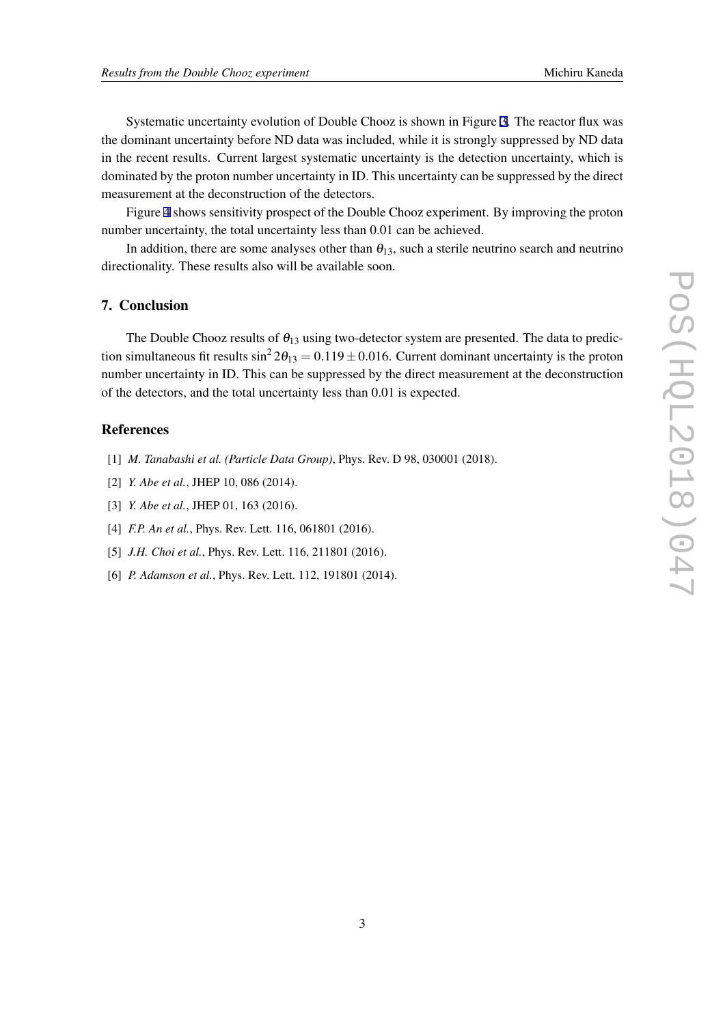<span id="page-3-0"></span>Systematic uncertainty evolution of Double Chooz is shown in Figure [3](#page-5-0). The reactor flux was the dominant uncertainty before ND data was included, while it is strongly suppressed by ND data in the recent results. Current largest systematic uncertainty is the detection uncertainty, which is dominated by the proton number uncertainty in ID. This uncertainty can be suppressed by the direct measurement at the deconstruction of the detectors.

Figure [4](#page-6-0) shows sensitivity prospect of the Double Chooz experiment. By improving the proton number uncertainty, the total uncertainty less than 0.01 can be achieved.

In addition, there are some analyses other than  $\theta_{13}$ , such a sterile neutrino search and neutrino directionality. These results also will be available soon.

### 7. Conclusion

The Double Chooz results of  $\theta_{13}$  using two-detector system are presented. The data to prediction simultaneous fit results  $\sin^2 2\theta_{13} = 0.119 \pm 0.016$ . Current dominant uncertainty is the proton number uncertainty in ID. This can be suppressed by the direct measurement at the deconstruction of the detectors, and the total uncertainty less than 0.01 is expected.

#### References

- [1] *M. Tanabashi et al. (Particle Data Group)*, Phys. Rev. D 98, 030001 (2018).
- [2] *Y. Abe et al.*, JHEP 10, 086 (2014).
- [3] *Y. Abe et al.*, JHEP 01, 163 (2016).
- [4] *F.P. An et al.*, *Phys. Rev. Lett.* 116, 061801 (2016).
- [5] *J.H. Choi et al.*, *Phys. Rev. Lett.* 116, 211801 (2016).
- [6] *P. Adamson et al.*, Phys. Rev. Lett. 112, 191801 (2014).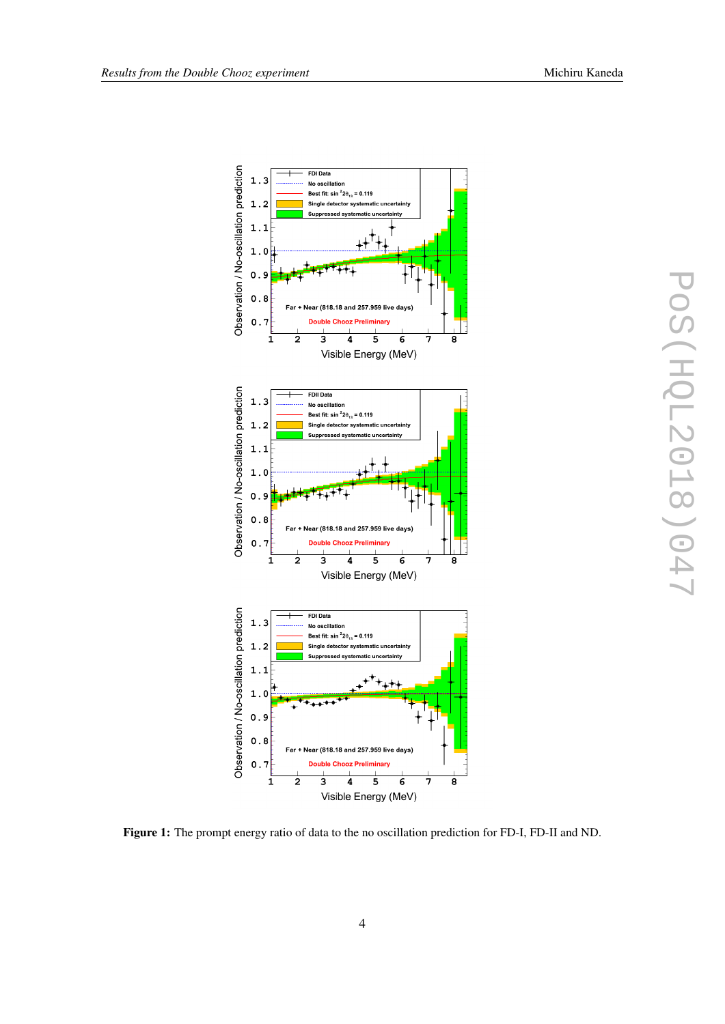<span id="page-4-0"></span>

Figure 1: The prompt energy ratio of data to the no oscillation prediction for FD-I, FD-II and ND.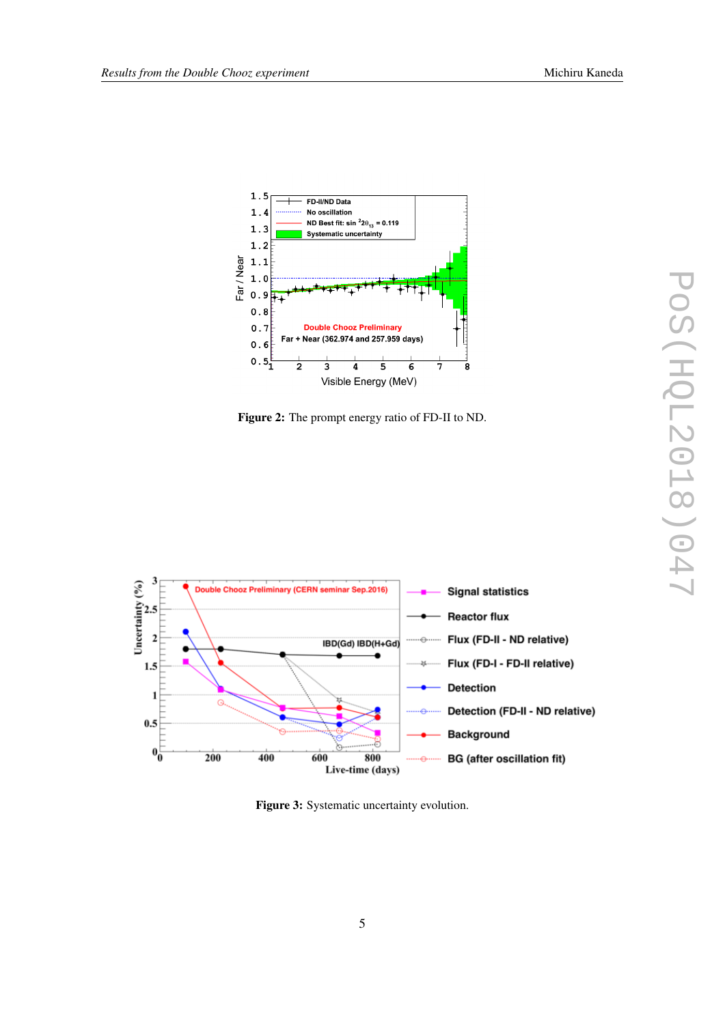<span id="page-5-0"></span>

Figure 2: The prompt energy ratio of FD-II to ND.



Figure 3: Systematic uncertainty evolution.